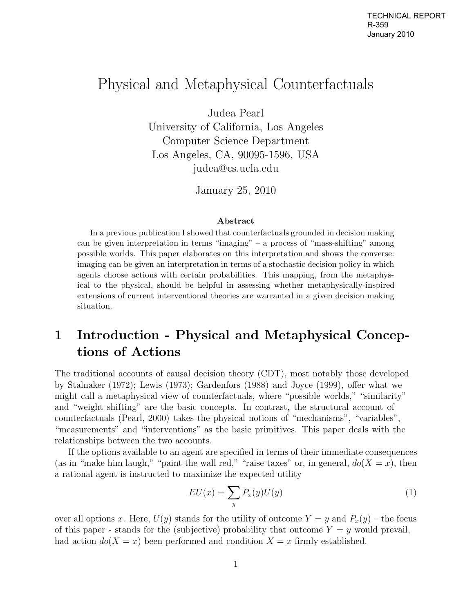## Physical and Metaphysical Counterfactuals

Judea Pearl

University of California, Los Angeles Computer Science Department Los Angeles, CA, 90095-1596, USA judea@cs.ucla.edu

January 25, 2010

#### **Abstract**

In a previous publication I showed that counterfactuals grounded in decision making can be given interpretation in terms "imaging" – a process of "mass-shifting" among possible worlds. This paper elaborates on this interpretation and shows the converse: imaging can be given an interpretation in terms of a stochastic decision policy in which agents choose actions with certain probabilities. This mapping, from the metaphysical to the physical, should be helpful in assessing whether metaphysically-inspired extensions of current interventional theories are warranted in a given decision making situation.

## **1 Introduction - Physical and Metaphysical Conceptions of Actions**

The traditional accounts of causal decision theory (CDT), most notably those developed by Stalnaker (1972); Lewis (1973); Gardenfors (1988) and Joyce (1999), offer what we might call a metaphysical view of counterfactuals, where "possible worlds," "similarity" and "weight shifting" are the basic concepts. In contrast, the structural account of counterfactuals (Pearl, 2000) takes the physical notions of "mechanisms", "variables", "measurements" and "interventions" as the basic primitives. This paper deals with the relationships between the two accounts.

If the options available to an agent are specified in terms of their immediate consequences (as in "make him laugh," "paint the wall red," "raise taxes" or, in general,  $do(X = x)$ , then a rational agent is instructed to maximize the expected utility

$$
EU(x) = \sum_{y} P_x(y)U(y) \tag{1}
$$

over all options x. Here,  $U(y)$  stands for the utility of outcome  $Y = y$  and  $P_x(y)$  – the focus of this paper - stands for the (subjective) probability that outcome  $Y = y$  would prevail, had action  $do(X = x)$  been performed and condition  $X = x$  firmly established.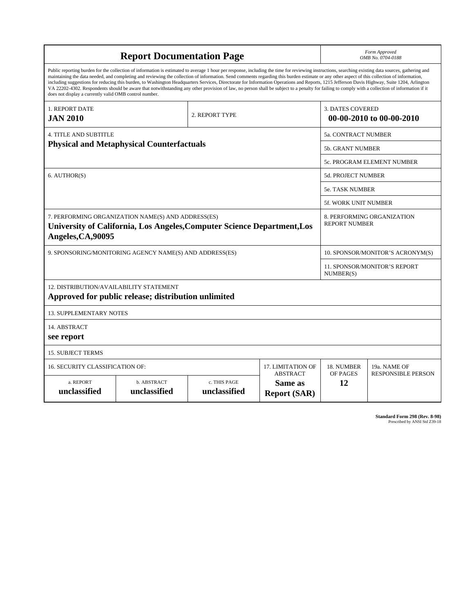| <b>Report Documentation Page</b>                                                                                                                                                                                                                                                                                                                                                                                                                                                                                                                                                                                                                                                                                                                                                                                                                                   |                             |                              |                                                   | Form Approved<br>OMB No. 0704-0188                  |                           |
|--------------------------------------------------------------------------------------------------------------------------------------------------------------------------------------------------------------------------------------------------------------------------------------------------------------------------------------------------------------------------------------------------------------------------------------------------------------------------------------------------------------------------------------------------------------------------------------------------------------------------------------------------------------------------------------------------------------------------------------------------------------------------------------------------------------------------------------------------------------------|-----------------------------|------------------------------|---------------------------------------------------|-----------------------------------------------------|---------------------------|
| Public reporting burden for the collection of information is estimated to average 1 hour per response, including the time for reviewing instructions, searching existing data sources, gathering and<br>maintaining the data needed, and completing and reviewing the collection of information. Send comments regarding this burden estimate or any other aspect of this collection of information,<br>including suggestions for reducing this burden, to Washington Headquarters Services, Directorate for Information Operations and Reports, 1215 Jefferson Davis Highway, Suite 1204, Arlington<br>VA 22202-4302. Respondents should be aware that notwithstanding any other provision of law, no person shall be subject to a penalty for failing to comply with a collection of information if it<br>does not display a currently valid OMB control number. |                             |                              |                                                   |                                                     |                           |
| 1. REPORT DATE<br><b>JAN 2010</b>                                                                                                                                                                                                                                                                                                                                                                                                                                                                                                                                                                                                                                                                                                                                                                                                                                  |                             | 2. REPORT TYPE               |                                                   | <b>3. DATES COVERED</b><br>00-00-2010 to 00-00-2010 |                           |
| <b>4. TITLE AND SUBTITLE</b>                                                                                                                                                                                                                                                                                                                                                                                                                                                                                                                                                                                                                                                                                                                                                                                                                                       |                             |                              |                                                   | 5a. CONTRACT NUMBER                                 |                           |
| <b>Physical and Metaphysical Counterfactuals</b>                                                                                                                                                                                                                                                                                                                                                                                                                                                                                                                                                                                                                                                                                                                                                                                                                   |                             |                              |                                                   | <b>5b. GRANT NUMBER</b>                             |                           |
|                                                                                                                                                                                                                                                                                                                                                                                                                                                                                                                                                                                                                                                                                                                                                                                                                                                                    |                             |                              |                                                   | 5c. PROGRAM ELEMENT NUMBER                          |                           |
| 6. AUTHOR(S)                                                                                                                                                                                                                                                                                                                                                                                                                                                                                                                                                                                                                                                                                                                                                                                                                                                       |                             |                              |                                                   | 5d. PROJECT NUMBER                                  |                           |
|                                                                                                                                                                                                                                                                                                                                                                                                                                                                                                                                                                                                                                                                                                                                                                                                                                                                    |                             |                              |                                                   | <b>5e. TASK NUMBER</b>                              |                           |
|                                                                                                                                                                                                                                                                                                                                                                                                                                                                                                                                                                                                                                                                                                                                                                                                                                                                    |                             |                              |                                                   | <b>5f. WORK UNIT NUMBER</b>                         |                           |
| 7. PERFORMING ORGANIZATION NAME(S) AND ADDRESS(ES)<br>University of California, Los Angeles, Computer Science Department, Los<br>Angeles, CA, 90095                                                                                                                                                                                                                                                                                                                                                                                                                                                                                                                                                                                                                                                                                                                |                             |                              |                                                   | 8. PERFORMING ORGANIZATION<br><b>REPORT NUMBER</b>  |                           |
| 9. SPONSORING/MONITORING AGENCY NAME(S) AND ADDRESS(ES)                                                                                                                                                                                                                                                                                                                                                                                                                                                                                                                                                                                                                                                                                                                                                                                                            |                             |                              |                                                   | 10. SPONSOR/MONITOR'S ACRONYM(S)                    |                           |
|                                                                                                                                                                                                                                                                                                                                                                                                                                                                                                                                                                                                                                                                                                                                                                                                                                                                    |                             |                              |                                                   | <b>11. SPONSOR/MONITOR'S REPORT</b><br>NUMBER(S)    |                           |
| 12. DISTRIBUTION/AVAILABILITY STATEMENT<br>Approved for public release; distribution unlimited                                                                                                                                                                                                                                                                                                                                                                                                                                                                                                                                                                                                                                                                                                                                                                     |                             |                              |                                                   |                                                     |                           |
| <b>13. SUPPLEMENTARY NOTES</b>                                                                                                                                                                                                                                                                                                                                                                                                                                                                                                                                                                                                                                                                                                                                                                                                                                     |                             |                              |                                                   |                                                     |                           |
| 14. ABSTRACT<br>see report                                                                                                                                                                                                                                                                                                                                                                                                                                                                                                                                                                                                                                                                                                                                                                                                                                         |                             |                              |                                                   |                                                     |                           |
| <b>15. SUBJECT TERMS</b>                                                                                                                                                                                                                                                                                                                                                                                                                                                                                                                                                                                                                                                                                                                                                                                                                                           |                             |                              |                                                   |                                                     |                           |
| <b>16. SECURITY CLASSIFICATION OF:</b>                                                                                                                                                                                                                                                                                                                                                                                                                                                                                                                                                                                                                                                                                                                                                                                                                             | 17. LIMITATION OF           | 18. NUMBER                   | 19a. NAME OF                                      |                                                     |                           |
| a. REPORT<br>unclassified                                                                                                                                                                                                                                                                                                                                                                                                                                                                                                                                                                                                                                                                                                                                                                                                                                          | b. ABSTRACT<br>unclassified | c. THIS PAGE<br>unclassified | <b>ABSTRACT</b><br>Same as<br><b>Report (SAR)</b> | OF PAGES<br>12                                      | <b>RESPONSIBLE PERSON</b> |

**Standard Form 298 (Rev. 8-98)**<br>Prescribed by ANSI Std Z39-18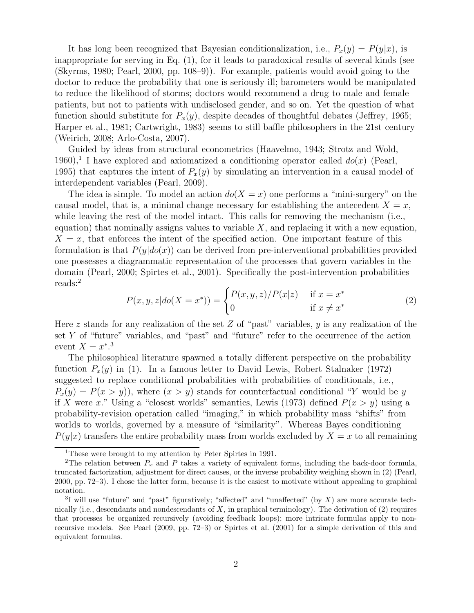It has long been recognized that Bayesian conditionalization, i.e.,  $P_x(y) = P(y|x)$ , is inappropriate for serving in Eq. (1), for it leads to paradoxical results of several kinds (see (Skyrms, 1980; Pearl, 2000, pp. 108–9)). For example, patients would avoid going to the doctor to reduce the probability that one is seriously ill; barometers would be manipulated to reduce the likelihood of storms; doctors would recommend a drug to male and female patients, but not to patients with undisclosed gender, and so on. Yet the question of what function should substitute for  $P_x(y)$ , despite decades of thoughtful debates (Jeffrey, 1965; Harper et al., 1981; Cartwright, 1983) seems to still baffle philosophers in the 21st century (Weirich, 2008; Arlo-Costa, 2007).

Guided by ideas from structural econometrics (Haavelmo, 1943; Strotz and Wold, 1960),<sup>1</sup> I have explored and axiomatized a conditioning operator called  $do(x)$  (Pearl, 1995) that captures the intent of  $P_x(y)$  by simulating an intervention in a causal model of interdependent variables (Pearl, 2009).

The idea is simple. To model an action  $do(X = x)$  one performs a "mini-surgery" on the causal model, that is, a minimal change necessary for establishing the antecedent  $X = x$ , while leaving the rest of the model intact. This calls for removing the mechanism (i.e., equation) that nominally assigns values to variable  $X$ , and replacing it with a new equation,  $X = x$ , that enforces the intent of the specified action. One important feature of this formulation is that  $P(y|do(x))$  can be derived from pre-interventional probabilities provided one possesses a diagrammatic representation of the processes that govern variables in the domain (Pearl, 2000; Spirtes et al., 2001). Specifically the post-intervention probabilities reads:<sup>2</sup>

$$
P(x, y, z | do(X = x^*)) = \begin{cases} P(x, y, z) / P(x|z) & \text{if } x = x^* \\ 0 & \text{if } x \neq x^* \end{cases}
$$
(2)

Here z stands for any realization of the set Z of "past" variables,  $\gamma$  is any realization of the set  $Y$  of "future" variables, and "past" and "future" refer to the occurrence of the action event  $X = x^*$ <sup>3</sup>

The philosophical literature spawned a totally different perspective on the probability function  $P_x(y)$  in (1). In a famous letter to David Lewis, Robert Stalnaker (1972) suggested to replace conditional probabilities with probabilities of conditionals, i.e.,  $P_x(y) = P(x > y)$ , where  $(x > y)$  stands for counterfactual conditional "Y would be y if X were x." Using a "closest worlds" semantics, Lewis (1973) defined  $P(x > y)$  using a probability-revision operation called "imaging," in which probability mass "shifts" from worlds to worlds, governed by a measure of "similarity". Whereas Bayes conditioning  $P(y|x)$  transfers the entire probability mass from worlds excluded by  $X = x$  to all remaining

<sup>&</sup>lt;sup>1</sup>These were brought to my attention by Peter Spirtes in 1991.

<sup>&</sup>lt;sup>2</sup>The relation between  $P_x$  and P takes a variety of equivalent forms, including the back-door formula, truncated factorization, adjustment for direct causes, or the inverse probability weighing shown in (2) (Pearl, 2000, pp. 72–3). I chose the latter form, because it is the easiest to motivate without appealing to graphical notation.

<sup>&</sup>lt;sup>3</sup>I will use "future" and "past" figuratively; "affected" and "unaffected" (by X) are more accurate technically (i.e., descendants and nondescendants of  $X$ , in graphical terminology). The derivation of (2) requires that processes be organized recursively (avoiding feedback loops); more intricate formulas apply to nonrecursive models. See Pearl (2009, pp. 72–3) or Spirtes et al. (2001) for a simple derivation of this and equivalent formulas.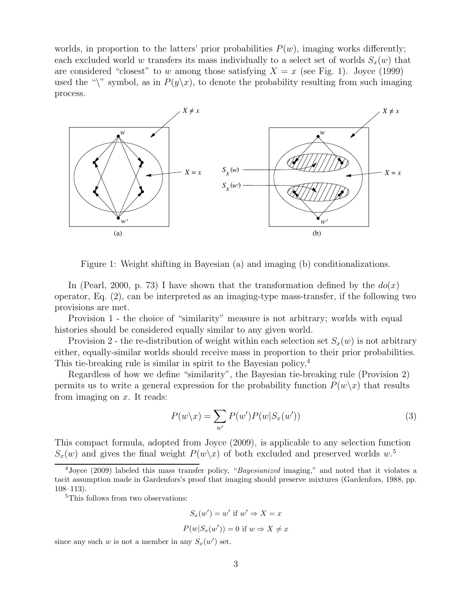worlds, in proportion to the latters' prior probabilities  $P(w)$ , imaging works differently; each excluded world w transfers its mass individually to a select set of worlds  $S_x(w)$  that are considered "closest" to w among those satisfying  $X = x$  (see Fig. 1). Joyce (1999) used the "\" symbol, as in  $P(y\chi x)$ , to denote the probability resulting from such imaging process.



Figure 1: Weight shifting in Bayesian (a) and imaging (b) conditionalizations.

In (Pearl, 2000, p. 73) I have shown that the transformation defined by the  $do(x)$ operator, Eq. (2), can be interpreted as an imaging-type mass-transfer, if the following two provisions are met.

Provision 1 - the choice of "similarity" measure is not arbitrary; worlds with equal histories should be considered equally similar to any given world.

Provision 2 - the re-distribution of weight within each selection set  $S_x(w)$  is not arbitrary either, equally-similar worlds should receive mass in proportion to their prior probabilities. This tie-breaking rule is similar in spirit to the Bayesian policy,<sup>4</sup>

Regardless of how we define "similarity", the Bayesian tie-breaking rule (Provision 2) permits us to write a general expression for the probability function  $P(w\chi x)$  that results from imaging on  $x$ . It reads:

$$
P(w \backslash x) = \sum_{w'} P(w') P(w | S_x(w')) \tag{3}
$$

This compact formula, adopted from Joyce (2009), is applicable to any selection function  $S_x(w)$  and gives the final weight  $P(w\backslash x)$  of both excluded and preserved worlds  $w$ .<sup>5</sup>

<sup>5</sup>This follows from two observations:

$$
S_x(w') = w' \text{ if } w' \Rightarrow X = x
$$
  

$$
P(w|S_x(w')) = 0 \text{ if } w \Rightarrow X \neq x
$$

since any such w is not a member in any  $S_x(w')$  set.

 $\frac{4 \text{ Joyce}}{2009}$  labeled this mass transfer policy, "Bayesianized imaging," and noted that it violates a tacit assumption made in Gardenfors's proof that imaging should preserve mixtures (Gardenfors, 1988, pp. 108–113).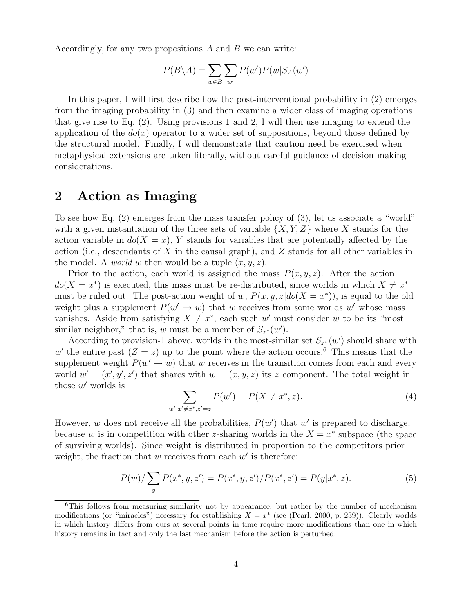Accordingly, for any two propositions  $A$  and  $B$  we can write:

$$
P(B \setminus A) = \sum_{w \in B} \sum_{w'} P(w') P(w | S_A(w')
$$

In this paper, I will first describe how the post-interventional probability in (2) emerges from the imaging probability in (3) and then examine a wider class of imaging operations that give rise to Eq. (2). Using provisions 1 and 2, I will then use imaging to extend the application of the  $do(x)$  operator to a wider set of suppositions, beyond those defined by the structural model. Finally, I will demonstrate that caution need be exercised when metaphysical extensions are taken literally, without careful guidance of decision making considerations.

#### **2 Action as Imaging**

To see how Eq. (2) emerges from the mass transfer policy of (3), let us associate a "world" with a given instantiation of the three sets of variable  $\{X, Y, Z\}$  where X stands for the action variable in  $d\sigma(X = x)$ , Y stands for variables that are potentially affected by the action (i.e., descendants of X in the causal graph), and Z stands for all other variables in the model. A *world* w then would be a tuple  $(x, y, z)$ .

Prior to the action, each world is assigned the mass  $P(x, y, z)$ . After the action  $do(X = x^*)$  is executed, this mass must be re-distributed, since worlds in which  $X \neq x^*$ must be ruled out. The post-action weight of w,  $P(x, y, z|do(X = x^*))$ , is equal to the old weight plus a supplement  $P(w' \rightarrow w)$  that w receives from some worlds w' whose mass vanishes. Aside from satisfying  $X \neq x^*$ , each such w' must consider w to be its "most similar neighbor," that is, w must be a member of  $S_{x^*}(w')$ .

According to provision-1 above, worlds in the most-similar set  $S_{x^*}(w')$  should share with w' the entire past  $(Z = z)$  up to the point where the action occurs.<sup>6</sup> This means that the supplement weight  $P(w' \to w)$  that w receives in the transition comes from each and every world  $w' = (x', y', z')$  that shares with  $w = (x, y, z)$  its z component. The total weight in those  $w'$  worlds is

$$
\sum_{w'|x'\neq x^*, z'=z} P(w') = P(X \neq x^*, z). \tag{4}
$$

However, w does not receive all the probabilities,  $P(w')$  that w' is prepared to discharge, because w is in competition with other z-sharing worlds in the  $X = x^*$  subspace (the space of surviving worlds). Since weight is distributed in proportion to the competitors prior weight, the fraction that w receives from each  $w'$  is therefore:

$$
P(w)/\sum_{y} P(x^*, y, z') = P(x^*, y, z')/P(x^*, z') = P(y|x^*, z). \tag{5}
$$

<sup>&</sup>lt;sup>6</sup>This follows from measuring similarity not by appearance, but rather by the number of mechanism modifications (or "miracles") necessary for establishing  $X = x^*$  (see (Pearl, 2000, p. 239)). Clearly worlds in which history differs from ours at several points in time require more modifications than one in which history remains in tact and only the last mechanism before the action is perturbed.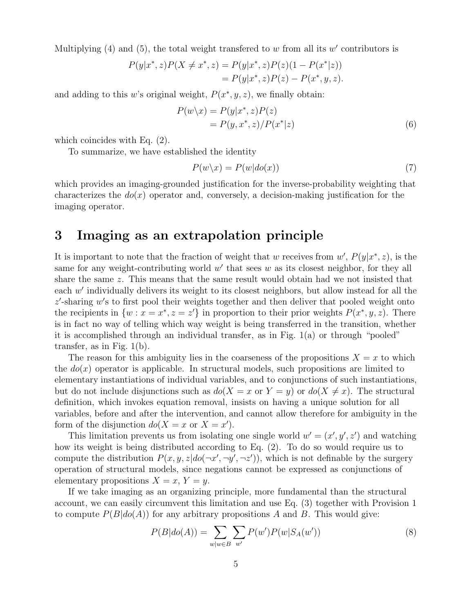Multiplying (4) and (5), the total weight transferred to w from all its w' contributors is

$$
P(y|x^*, z)P(X \neq x^*, z) = P(y|x^*, z)P(z)(1 - P(x^*|z))
$$
  
=  $P(y|x^*, z)P(z) - P(x^*, y, z).$ 

and adding to this w's original weight,  $P(x^*, y, z)$ , we finally obtain:

$$
P(w \backslash x) = P(y|x^*, z)P(z)
$$
  
= 
$$
P(y, x^*, z)/P(x^*|z)
$$
 (6)

which coincides with Eq. (2).

To summarize, we have established the identity

$$
P(w \backslash x) = P(w|do(x))
$$
\n<sup>(7)</sup>

which provides an imaging-grounded justification for the inverse-probability weighting that characterizes the  $do(x)$  operator and, conversely, a decision-making justification for the imaging operator.

#### **3 Imaging as an extrapolation principle**

It is important to note that the fraction of weight that w receives from  $w'$ ,  $P(y|x^*, z)$ , is the same for any weight-contributing world  $w'$  that sees w as its closest neighbor, for they all share the same z. This means that the same result would obtain had we not insisted that each  $w'$  individually delivers its weight to its closest neighbors, but allow instead for all the  $z'$ -sharing  $w'$ s to first pool their weights together and then deliver that pooled weight onto the recipients in  $\{w : x = x^*, z = z'\}$  in proportion to their prior weights  $P(x^*, y, z)$ . There is in fact no way of telling which way weight is being transferred in the transition, whether it is accomplished through an individual transfer, as in Fig. 1(a) or through "pooled" transfer, as in Fig. 1(b).

The reason for this ambiguity lies in the coarseness of the propositions  $X = x$  to which the  $do(x)$  operator is applicable. In structural models, such propositions are limited to elementary instantiations of individual variables, and to conjunctions of such instantiations, but do not include disjunctions such as  $do(X = x \text{ or } Y = y)$  or  $do(X \neq x)$ . The structural definition, which invokes equation removal, insists on having a unique solution for all variables, before and after the intervention, and cannot allow therefore for ambiguity in the form of the disjunction  $do(X = x \text{ or } X = x')$ .

This limitation prevents us from isolating one single world  $w' = (x', y', z')$  and watching how its weight is being distributed according to Eq. (2). To do so would require us to compute the distribution  $P(x, y, z|do(\neg x', \neg y', \neg z'))$ , which is not definable by the surgery operation of structural models, since negations cannot be expressed as conjunctions of elementary propositions  $X = x, Y = y$ .

If we take imaging as an organizing principle, more fundamental than the structural account, we can easily circumvent this limitation and use Eq. (3) together with Provision 1 to compute  $P(B|do(A))$  for any arbitrary propositions A and B. This would give:

$$
P(B|do(A)) = \sum_{w|w \in B} \sum_{w'} P(w')P(w|S_A(w')) \tag{8}
$$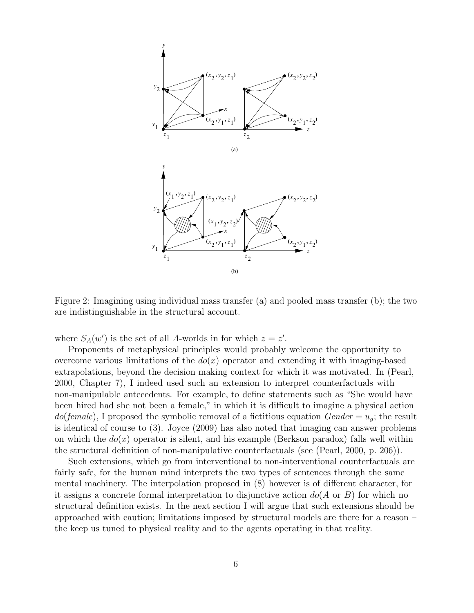

Figure 2: Imagining using individual mass transfer (a) and pooled mass transfer (b); the two are indistinguishable in the structural account.

where  $S_A(w')$  is the set of all A-worlds in for which  $z = z'$ .

Proponents of metaphysical principles would probably welcome the opportunity to overcome various limitations of the  $do(x)$  operator and extending it with imaging-based extrapolations, beyond the decision making context for which it was motivated. In (Pearl, 2000, Chapter 7), I indeed used such an extension to interpret counterfactuals with non-manipulable antecedents. For example, to define statements such as "She would have been hired had she not been a female," in which it is difficult to imagine a physical action  $do(female)$ , I proposed the symbolic removal of a fictitious equation  $Gender = u_q$ ; the result is identical of course to (3). Joyce (2009) has also noted that imaging can answer problems on which the  $do(x)$  operator is silent, and his example (Berkson paradox) falls well within the structural definition of non-manipulative counterfactuals (see (Pearl, 2000, p. 206)).

Such extensions, which go from interventional to non-interventional counterfactuals are fairly safe, for the human mind interprets the two types of sentences through the same mental machinery. The interpolation proposed in (8) however is of different character, for it assigns a concrete formal interpretation to disjunctive action  $dof(\Lambda)$  or B) for which no structural definition exists. In the next section I will argue that such extensions should be approached with caution; limitations imposed by structural models are there for a reason – the keep us tuned to physical reality and to the agents operating in that reality.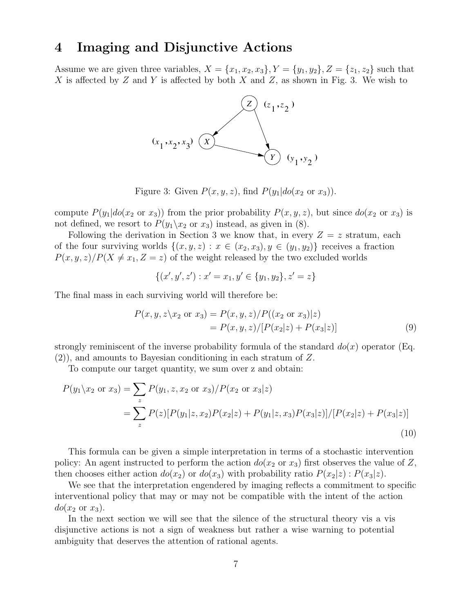### **4 Imaging and Disjunctive Actions**

Assume we are given three variables,  $X = \{x_1, x_2, x_3\}, Y = \{y_1, y_2\}, Z = \{z_1, z_2\}$  such that X is affected by Z and Y is affected by both X and Z, as shown in Fig. 3. We wish to



Figure 3: Given  $P(x, y, z)$ , find  $P(y_1|do(x_2 \text{ or } x_3))$ .

compute  $P(y_1|do(x_2 \text{ or } x_3))$  from the prior probability  $P(x, y, z)$ , but since  $do(x_2 \text{ or } x_3)$  is not defined, we resort to  $P(y_1 \backslash x_2 \text{ or } x_3)$  instead, as given in (8).

Following the derivation in Section 3 we know that, in every  $Z = z$  stratum, each of the four surviving worlds  $\{(x, y, z) : x \in (x_2, x_3), y \in (y_1, y_2)\}\)$  receives a fraction  $P(x, y, z)/P(X \neq x_1, Z = z)$  of the weight released by the two excluded worlds

$$
\{(x', y', z'): x' = x_1, y' \in \{y_1, y_2\}, z' = z\}
$$

The final mass in each surviving world will therefore be:

$$
P(x, y, z \mid x_2 \text{ or } x_3) = P(x, y, z) / P((x_2 \text{ or } x_3) \mid z)
$$
  
= 
$$
P(x, y, z) / [P(x_2 \mid z) + P(x_3 \mid z)]
$$
 (9)

strongly reminiscent of the inverse probability formula of the standard  $d\rho(x)$  operator (Eq. (2)), and amounts to Bayesian conditioning in each stratum of Z.

To compute our target quantity, we sum over z and obtain:

$$
P(y_1 \setminus x_2 \text{ or } x_3) = \sum_{z} P(y_1, z, x_2 \text{ or } x_3) / P(x_2 \text{ or } x_3 | z)
$$
  
= 
$$
\sum_{z} P(z) [P(y_1 | z, x_2) P(x_2 | z) + P(y_1 | z, x_3) P(x_3 | z)] / [P(x_2 | z) + P(x_3 | z)]
$$
(10)

This formula can be given a simple interpretation in terms of a stochastic intervention policy: An agent instructed to perform the action  $do(x_2 \text{ or } x_3)$  first observes the value of Z, then chooses either action  $d\sigma(x_2)$  or  $d\sigma(x_3)$  with probability ratio  $P(x_2|z)$  :  $P(x_3|z)$ .

We see that the interpretation engendered by imaging reflects a commitment to specific interventional policy that may or may not be compatible with the intent of the action  $do(x_2 \text{ or } x_3).$ 

In the next section we will see that the silence of the structural theory vis a vis disjunctive actions is not a sign of weakness but rather a wise warning to potential ambiguity that deserves the attention of rational agents.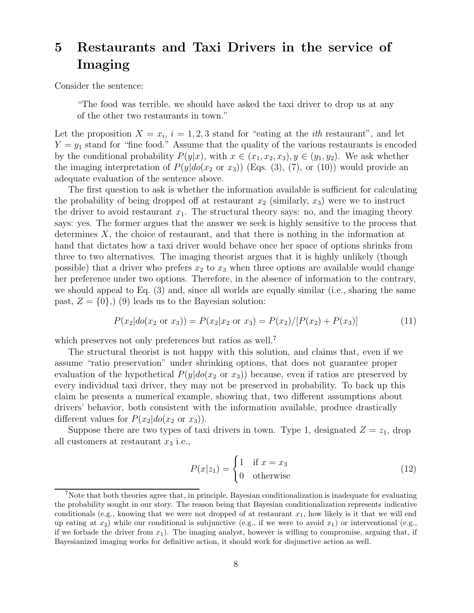# **5 Restaurants and Taxi Drivers in the service of Imaging**

Consider the sentence:

"The food was terrible, we should have asked the taxi driver to drop us at any of the other two restaurants in town."

Let the proposition  $X = x_i$ ,  $i = 1, 2, 3$  stand for "eating at the *ith* restaurant", and let  $Y = y_1$  stand for "fine food." Assume that the quality of the various restaurants is encoded by the conditional probability  $P(y|x)$ , with  $x \in (x_1, x_2, x_3), y \in (y_1, y_2)$ . We ask whether the imaging interpretation of  $P(y|do(x_2 \text{ or } x_3))$  (Eqs. (3), (7), or (10)) would provide an adequate evaluation of the sentence above.

The first question to ask is whether the information available is sufficient for calculating the probability of being dropped off at restaurant  $x_2$  (similarly,  $x_3$ ) were we to instruct the driver to avoid restaurant  $x_1$ . The structural theory says: no, and the imaging theory says: yes. The former argues that the answer we seek is highly sensitive to the process that determines  $X$ , the choice of restaurant, and that there is nothing in the information at hand that dictates how a taxi driver would behave once her space of options shrinks from three to two alternatives. The imaging theorist argues that it is highly unlikely (though possible) that a driver who prefers  $x_2$  to  $x_3$  when three options are available would change her preference under two options. Therefore, in the absence of information to the contrary, we should appeal to Eq. (3) and, since all worlds are equally similar (i.e., sharing the same past,  $Z = \{0\}$ ,  $(9)$  leads us to the Bayesian solution:

$$
P(x_2|do(x_2 \text{ or } x_3)) = P(x_2|x_2 \text{ or } x_3) = P(x_2)/[P(x_2) + P(x_3)] \tag{11}
$$

which preserves not only preferences but ratios as well.<sup>7</sup>

The structural theorist is not happy with this solution, and claims that, even if we assume "ratio preservation" under shrinking options, that does not guarantee proper evaluation of the hypothetical  $P(y|do(x_2 \text{ or } x_3))$  because, even if ratios are preserved by every individual taxi driver, they may not be preserved in probability. To back up this claim he presents a numerical example, showing that, two different assumptions about drivers' behavior, both consistent with the information available, produce drastically different values for  $P(x_2|do(x_2 \text{ or } x_3))$ .

Suppose there are two types of taxi drivers in town. Type 1, designated  $Z = z<sub>1</sub>$ , drop all customers at restaurant  $x_3$  i.e.,

$$
P(x|z_1) = \begin{cases} 1 & \text{if } x = x_3 \\ 0 & \text{otherwise} \end{cases}
$$
 (12)

<sup>7</sup>Note that both theories agree that, in principle, Bayesian conditionalization is inadequate for evaluating the probability sought in our story. The reason being that Bayesian conditionalization represents indicative conditionals (e.g., knowing that we were not dropped of at restaurant  $x_1$ , how likely is it that we will end up eating at  $x_2$ ) while our conditional is subjunctive (e.g., if we were to avoid  $x_1$ ) or interventional (e.g., if we forbade the driver from  $x_1$ ). The imaging analyst, however is willing to compromise, arguing that, if Bayesianized imaging works for definitive action, it should work for disjunctive action as well.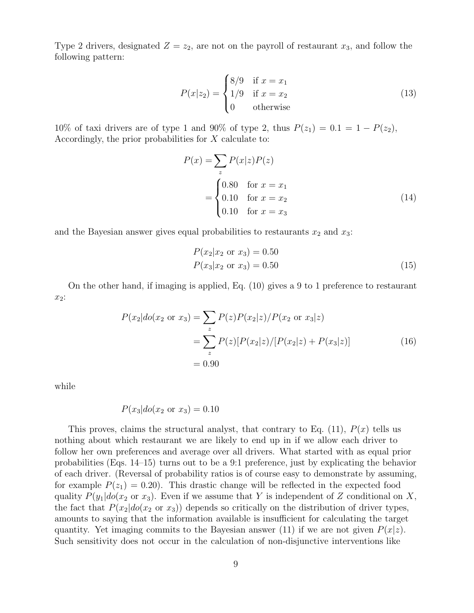Type 2 drivers, designated  $Z = z_2$ , are not on the payroll of restaurant  $x_3$ , and follow the following pattern:

$$
P(x|z_2) = \begin{cases} 8/9 & \text{if } x = x_1 \\ 1/9 & \text{if } x = x_2 \\ 0 & \text{otherwise} \end{cases}
$$
 (13)

10% of taxi drivers are of type 1 and 90% of type 2, thus  $P(z_1)=0.1=1 - P(z_2)$ , Accordingly, the prior probabilities for X calculate to:

$$
P(x) = \sum_{z} P(x|z)P(z)
$$
  
= 
$$
\begin{cases} 0.80 & \text{for } x = x_1 \\ 0.10 & \text{for } x = x_2 \\ 0.10 & \text{for } x = x_3 \end{cases}
$$
 (14)

and the Bayesian answer gives equal probabilities to restaurants  $x_2$  and  $x_3$ :

$$
P(x_2|x_2 \text{ or } x_3) = 0.50
$$
  
 
$$
P(x_3|x_2 \text{ or } x_3) = 0.50
$$
 (15)

On the other hand, if imaging is applied, Eq. (10) gives a 9 to 1 preference to restaurant x2:

$$
P(x_2|do(x_2 \text{ or } x_3) = \sum_{z} P(z)P(x_2|z)/P(x_2 \text{ or } x_3|z)
$$
  
= 
$$
\sum_{z} P(z)[P(x_2|z)/[P(x_2|z) + P(x_3|z)]
$$
 (16)  
= 0.90

while

$$
P(x_3|do(x_2 \text{ or } x_3) = 0.10
$$

This proves, claims the structural analyst, that contrary to Eq.  $(11)$ ,  $P(x)$  tells us nothing about which restaurant we are likely to end up in if we allow each driver to follow her own preferences and average over all drivers. What started with as equal prior probabilities (Eqs. 14–15) turns out to be a 9:1 preference, just by explicating the behavior of each driver. (Reversal of probability ratios is of course easy to demonstrate by assuming, for example  $P(z_1)=0.20$ . This drastic change will be reflected in the expected food quality  $P(y_1|do(x_2 \text{ or } x_3)$ . Even if we assume that Y is independent of Z conditional on X, the fact that  $P(x_2|do(x_2 \text{ or } x_3))$  depends so critically on the distribution of driver types, amounts to saying that the information available is insufficient for calculating the target quantity. Yet imaging commits to the Bayesian answer (11) if we are not given  $P(x|z)$ . Such sensitivity does not occur in the calculation of non-disjunctive interventions like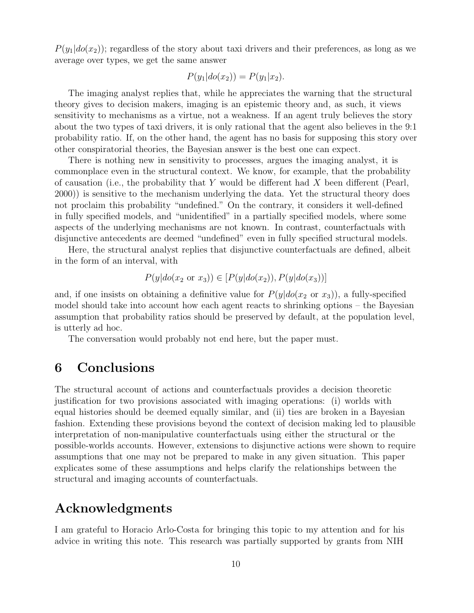$P(y_1|do(x_2))$ ; regardless of the story about taxi drivers and their preferences, as long as we average over types, we get the same answer

$$
P(y_1|do(x_2)) = P(y_1|x_2).
$$

The imaging analyst replies that, while he appreciates the warning that the structural theory gives to decision makers, imaging is an epistemic theory and, as such, it views sensitivity to mechanisms as a virtue, not a weakness. If an agent truly believes the story about the two types of taxi drivers, it is only rational that the agent also believes in the 9:1 probability ratio. If, on the other hand, the agent has no basis for supposing this story over other conspiratorial theories, the Bayesian answer is the best one can expect.

There is nothing new in sensitivity to processes, argues the imaging analyst, it is commonplace even in the structural context. We know, for example, that the probability of causation (i.e., the probability that Y would be different had X been different (Pearl, 2000)) is sensitive to the mechanism underlying the data. Yet the structural theory does not proclaim this probability "undefined." On the contrary, it considers it well-defined in fully specified models, and "unidentified" in a partially specified models, where some aspects of the underlying mechanisms are not known. In contrast, counterfactuals with disjunctive antecedents are deemed "undefined" even in fully specified structural models.

Here, the structural analyst replies that disjunctive counterfactuals are defined, albeit in the form of an interval, with

$$
P(y|do(x_2 \text{ or } x_3)) \in [P(y|do(x_2)), P(y|do(x_3))]
$$

and, if one insists on obtaining a definitive value for  $P(y|do(x_2 \text{ or } x_3))$ , a fully-specified model should take into account how each agent reacts to shrinking options – the Bayesian assumption that probability ratios should be preserved by default, at the population level, is utterly ad hoc.

The conversation would probably not end here, but the paper must.

### **6 Conclusions**

The structural account of actions and counterfactuals provides a decision theoretic justification for two provisions associated with imaging operations: (i) worlds with equal histories should be deemed equally similar, and (ii) ties are broken in a Bayesian fashion. Extending these provisions beyond the context of decision making led to plausible interpretation of non-manipulative counterfactuals using either the structural or the possible-worlds accounts. However, extensions to disjunctive actions were shown to require assumptions that one may not be prepared to make in any given situation. This paper explicates some of these assumptions and helps clarify the relationships between the structural and imaging accounts of counterfactuals.

### **Acknowledgments**

I am grateful to Horacio Arlo-Costa for bringing this topic to my attention and for his advice in writing this note. This research was partially supported by grants from NIH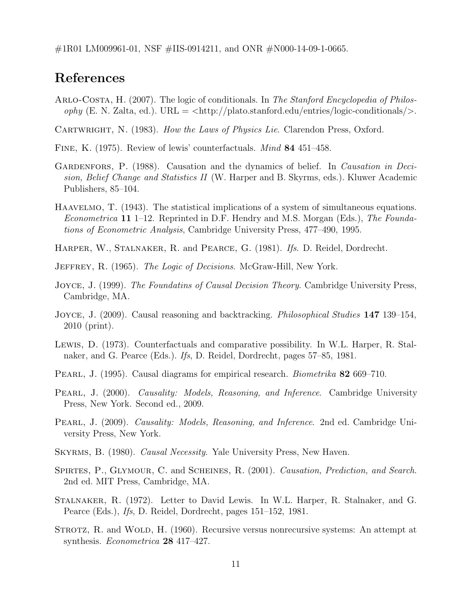$\#1R01$  LM009961-01, NSF  $\#1IS-0914211$ , and ONR  $\#N000-14-09-1-0665$ .

### **References**

Arlo-Costa, H. (2007). The logic of conditionals. In The Stanford Encyclopedia of Philos $ophy$  (E. N. Zalta, ed.). URL =  $\langle \text{http://plato.stanford.edu/entries/logic-conditionals/}\rangle$ .

CARTWRIGHT, N. (1983). How the Laws of Physics Lie. Clarendon Press, Oxford.

- Fine, K. (1975). Review of lewis' counterfactuals. Mind **84** 451–458.
- GARDENFORS, P. (1988). Causation and the dynamics of belief. In *Causation in Deci*sion, Belief Change and Statistics II (W. Harper and B. Skyrms, eds.). Kluwer Academic Publishers, 85–104.
- Haavelmo, T. (1943). The statistical implications of a system of simultaneous equations. Econometrica **11** 1–12. Reprinted in D.F. Hendry and M.S. Morgan (Eds.), The Foundations of Econometric Analysis, Cambridge University Press, 477–490, 1995.
- HARPER, W., STALNAKER, R. and PEARCE, G. (1981). Ifs. D. Reidel, Dordrecht.
- JEFFREY, R. (1965). The Logic of Decisions. McGraw-Hill, New York.
- JOYCE, J. (1999). The Foundatins of Causal Decision Theory. Cambridge University Press, Cambridge, MA.
- Joyce, J. (2009). Causal reasoning and backtracking. Philosophical Studies **147** 139–154, 2010 (print).
- Lewis, D. (1973). Counterfactuals and comparative possibility. In W.L. Harper, R. Stalnaker, and G. Pearce (Eds.). Ifs, D. Reidel, Dordrecht, pages 57–85, 1981.
- Pearl, J. (1995). Causal diagrams for empirical research. Biometrika **82** 669–710.
- PEARL, J. (2000). Causality: Models, Reasoning, and Inference. Cambridge University Press, New York. Second ed., 2009.
- PEARL, J. (2009). Causality: Models, Reasoning, and Inference. 2nd ed. Cambridge University Press, New York.
- Skyrms, B. (1980). Causal Necessity. Yale University Press, New Haven.
- SPIRTES, P., GLYMOUR, C. and SCHEINES, R. (2001). Causation, Prediction, and Search. 2nd ed. MIT Press, Cambridge, MA.
- Stalnaker, R. (1972). Letter to David Lewis. In W.L. Harper, R. Stalnaker, and G. Pearce (Eds.), Ifs, D. Reidel, Dordrecht, pages 151–152, 1981.
- STROTZ, R. and WOLD, H. (1960). Recursive versus nonrecursive systems: An attempt at synthesis. Econometrica **28** 417–427.